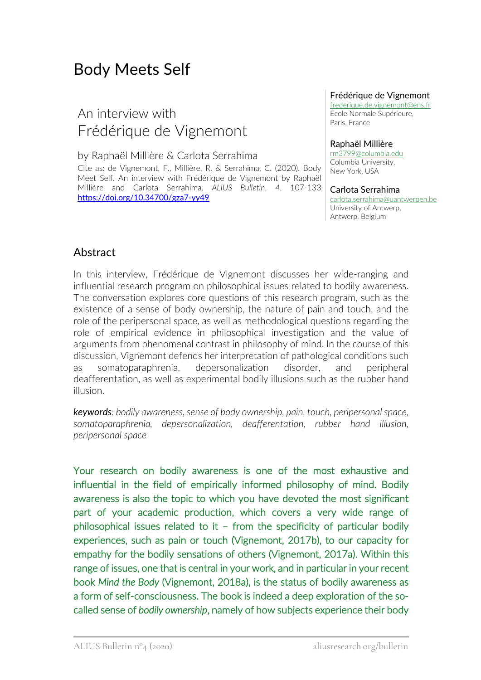# Body Meets Self

## An interview with Frédérique de Vignemont

by Raphaël Millière & Carlota Serrahima

Cite as: de Vignemont, F., Millière, R. & Serrahima, C. (2020). Body Meet Self. An interview with Frédérique de Vignemont by Raphaël Millière and Carlota Serrahima. *ALIUS Bulletin*, *4*, 107-133 https://doi.org/10.34700/gza7-yy49

#### Frédérique de Vignemont

frederique.de.vignemont@ens.fr Ecole Normale Supérieure, Paris, France

#### Raphaël Millière

rm3799@columbia.edu Columbia University, New York, USA

#### Carlota Serrahima

carlota.serrahima@uantwerpen.be University of Antwerp, Antwerp, Belgium

#### Abstract

In this interview, Frédérique de Vignemont discusses her wide-ranging and influential research program on philosophical issues related to bodily awareness. The conversation explores core questions of this research program, such as the existence of a sense of body ownership, the nature of pain and touch, and the role of the peripersonal space, as well as methodological questions regarding the role of empirical evidence in philosophical investigation and the value of arguments from phenomenal contrast in philosophy of mind. In the course of this discussion, Vignemont defends her interpretation of pathological conditions such as somatoparaphrenia, depersonalization disorder, and peripheral deafferentation, as well as experimental bodily illusions such as the rubber hand illusion.

*keywords: bodily awareness, sense of body ownership, pain, touch, peripersonal space, somatoparaphrenia, depersonalization, deafferentation, rubber hand illusion, peripersonal space*

Your research on bodily awareness is one of the most exhaustive and influential in the field of empirically informed philosophy of mind. Bodily awareness is also the topic to which you have devoted the most significant part of your academic production, which covers a very wide range of philosophical issues related to it – from the specificity of particular bodily experiences, such as pain or touch (Vignemont, 2017b), to our capacity for empathy for the bodily sensations of others (Vignemont, 2017a). Within this range of issues, one that is central in your work, and in particular in your recent book *Mind the Body* (Vignemont, 2018a), is the status of bodily awareness as a form of self-consciousness. The book is indeed a deep exploration of the socalled sense of *bodily ownership*, namely of how subjects experience their body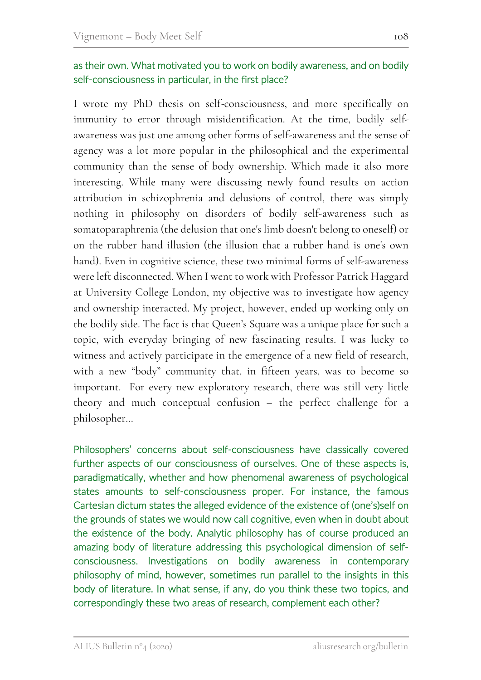#### as their own. What motivated you to work on bodily awareness, and on bodily self-consciousness in particular, in the first place?

I wrote my PhD thesis on self-consciousness, and more specifically on immunity to error through misidentification. At the time, bodily selfawareness was just one among other forms of self-awareness and the sense of agency was a lot more popular in the philosophical and the experimental community than the sense of body ownership. Which made it also more interesting. While many were discussing newly found results on action attribution in schizophrenia and delusions of control, there was simply nothing in philosophy on disorders of bodily self-awareness such as somatoparaphrenia (the delusion that one's limb doesn't belong to oneself) or on the rubber hand illusion (the illusion that a rubber hand is one's own hand). Even in cognitive science, these two minimal forms of self-awareness were left disconnected. When I went to work with Professor Patrick Haggard at University College London, my objective was to investigate how agency and ownership interacted. My project, however, ended up working only on the bodily side. The fact is that Queen's Square was a unique place for such a topic, with everyday bringing of new fascinating results. I was lucky to witness and actively participate in the emergence of a new field of research, with a new "body" community that, in fifteen years, was to become so important. For every new exploratory research, there was still very little theory and much conceptual confusion – the perfect challenge for a philosopher…

Philosophers' concerns about self-consciousness have classically covered further aspects of our consciousness of ourselves. One of these aspects is, paradigmatically, whether and how phenomenal awareness of psychological states amounts to self-consciousness proper. For instance, the famous Cartesian dictum states the alleged evidence of the existence of (one's)self on the grounds of states we would now call cognitive, even when in doubt about the existence of the body. Analytic philosophy has of course produced an amazing body of literature addressing this psychological dimension of selfconsciousness. Investigations on bodily awareness in contemporary philosophy of mind, however, sometimes run parallel to the insights in this body of literature. In what sense, if any, do you think these two topics, and correspondingly these two areas of research, complement each other?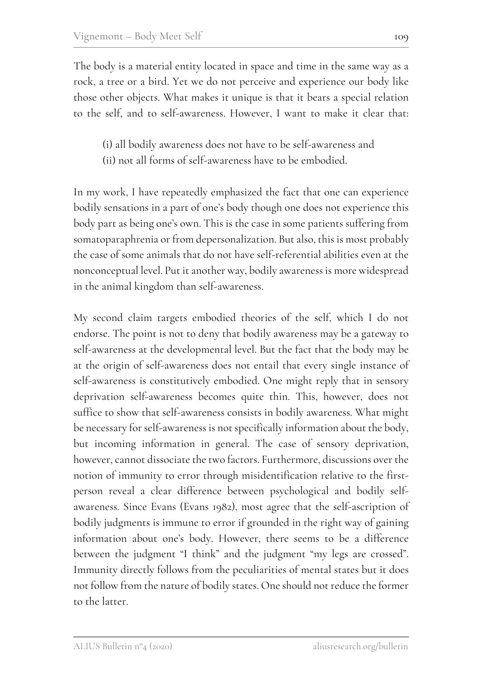The body is a material entity located in space and time in the same way as a rock, a tree or a bird. Yet we do not perceive and experience our body like those other objects. What makes it unique is that it bears a special relation to the self, and to self-awareness. However, I want to make it clear that:

- (i) all bodily awareness does not have to be self-awareness and
- (ii) not all forms of self-awareness have to be embodied.

In my work, I have repeatedly emphasized the fact that one can experience bodily sensations in a part of one's body though one does not experience this body part as being one's own. This is the case in some patients suffering from somatoparaphrenia or from depersonalization. But also, this is most probably the case of some animals that do not have self-referential abilities even at the nonconceptual level. Put it another way, bodily awareness is more widespread in the animal kingdom than self-awareness.

My second claim targets embodied theories of the self, which I do not endorse. The point is not to deny that bodily awareness may be a gateway to self-awareness at the developmental level. But the fact that the body may be at the origin of self-awareness does not entail that every single instance of self-awareness is constitutively embodied. One might reply that in sensory deprivation self-awareness becomes quite thin. This, however, does not suffice to show that self-awareness consists in bodily awareness. What might be necessary for self-awareness is not specifically information about the body, but incoming information in general. The case of sensory deprivation, however, cannot dissociate the two factors. Furthermore, discussions over the notion of immunity to error through misidentification relative to the firstperson reveal a clear difference between psychological and bodily selfawareness. Since Evans (Evans 1982), most agree that the self-ascription of bodily judgments is immune to error if grounded in the right way of gaining information about one's body. However, there seems to be a difference between the judgment "I think" and the judgment "my legs are crossed". Immunity directly follows from the peculiarities of mental states but it does not follow from the nature of bodily states. One should not reduce the former to the latter.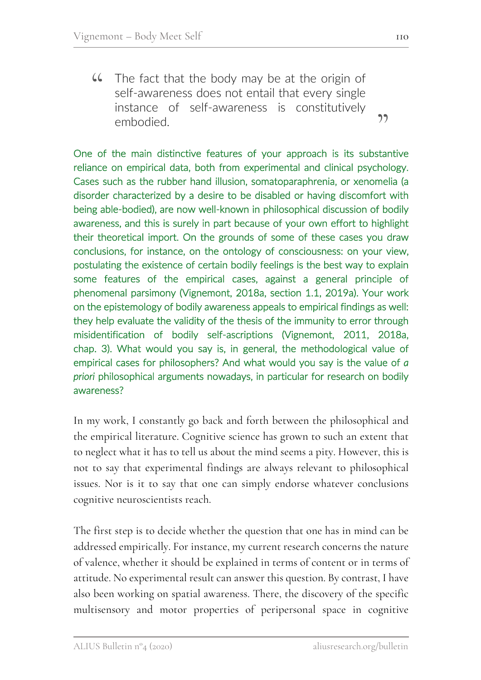The fact that the body may be at the origin of self-awareness does not entail that every single instance of self-awareness is constitutively embodied.  $CC$ 

One of the main distinctive features of your approach is its substantive reliance on empirical data, both from experimental and clinical psychology. Cases such as the rubber hand illusion, somatoparaphrenia, or xenomelia (a disorder characterized by a desire to be disabled or having discomfort with being able-bodied), are now well-known in philosophical discussion of bodily awareness, and this is surely in part because of your own effort to highlight their theoretical import. On the grounds of some of these cases you draw conclusions, for instance, on the ontology of consciousness: on your view, postulating the existence of certain bodily feelings is the best way to explain some features of the empirical cases, against a general principle of phenomenal parsimony (Vignemont, 2018a, section 1.1, 2019a). Your work on the epistemology of bodily awareness appeals to empirical findings as well: they help evaluate the validity of the thesis of the immunity to error through misidentification of bodily self-ascriptions (Vignemont, 2011, 2018a, chap. 3). What would you say is, in general, the methodological value of empirical cases for philosophers? And what would you say is the value of *a priori* philosophical arguments nowadays, in particular for research on bodily awareness?

In my work, I constantly go back and forth between the philosophical and the empirical literature. Cognitive science has grown to such an extent that to neglect what it has to tell us about the mind seems a pity. However, this is not to say that experimental findings are always relevant to philosophical issues. Nor is it to say that one can simply endorse whatever conclusions cognitive neuroscientists reach.

The first step is to decide whether the question that one has in mind can be addressed empirically. For instance, my current research concerns the nature of valence, whether it should be explained in terms of content or in terms of attitude. No experimental result can answer this question. By contrast, I have also been working on spatial awareness. There, the discovery of the specific multisensory and motor properties of peripersonal space in cognitive

"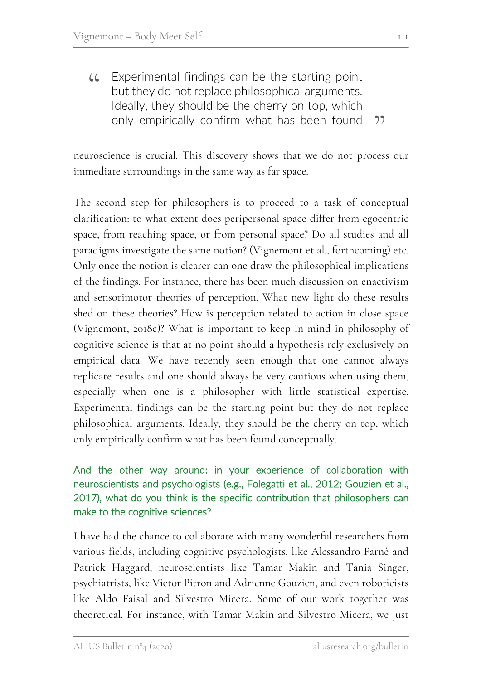Experimental findings can be the starting point but they do not replace philosophical arguments. Ideally, they should be the cherry on top, which only empirically confirm what has been found  $AC$  $22$ 

neuroscience is crucial. This discovery shows that we do not process our immediate surroundings in the same way as far space.

The second step for philosophers is to proceed to a task of conceptual clarification: to what extent does peripersonal space differ from egocentric space, from reaching space, or from personal space? Do all studies and all paradigms investigate the same notion? (Vignemont et al., forthcoming) etc. Only once the notion is clearer can one draw the philosophical implications of the findings. For instance, there has been much discussion on enactivism and sensorimotor theories of perception. What new light do these results shed on these theories? How is perception related to action in close space (Vignemont, 2018c)? What is important to keep in mind in philosophy of cognitive science is that at no point should a hypothesis rely exclusively on empirical data. We have recently seen enough that one cannot always replicate results and one should always be very cautious when using them, especially when one is a philosopher with little statistical expertise. Experimental findings can be the starting point but they do not replace philosophical arguments. Ideally, they should be the cherry on top, which only empirically confirm what has been found conceptually.

### And the other way around: in your experience of collaboration with neuroscientists and psychologists (e.g., Folegatti et al., 2012; Gouzien et al., 2017), what do you think is the specific contribution that philosophers can make to the cognitive sciences?

I have had the chance to collaborate with many wonderful researchers from various fields, including cognitive psychologists, like Alessandro Farnè and Patrick Haggard, neuroscientists like Tamar Makin and Tania Singer, psychiatrists, like Victor Pitron and Adrienne Gouzien, and even roboticists like Aldo Faisal and Silvestro Micera. Some of our work together was theoretical. For instance, with Tamar Makin and Silvestro Micera, we just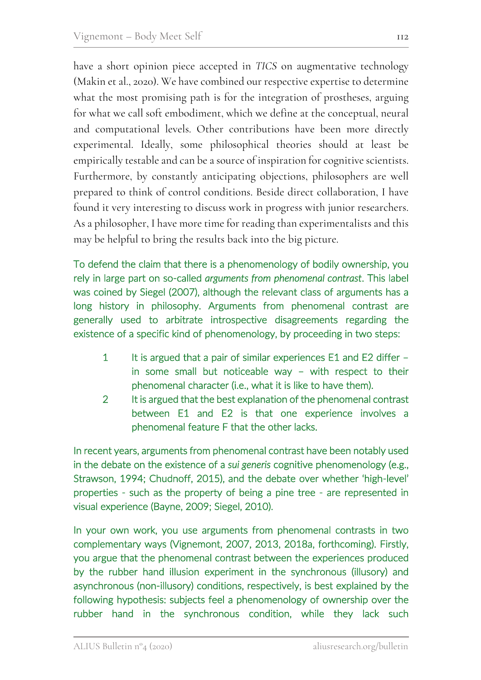have a short opinion piece accepted in *TICS* on augmentative technology (Makin et al., 2020). We have combined our respective expertise to determine what the most promising path is for the integration of prostheses, arguing for what we call soft embodiment, which we define at the conceptual, neural and computational levels. Other contributions have been more directly experimental. Ideally, some philosophical theories should at least be empirically testable and can be a source of inspiration for cognitive scientists. Furthermore, by constantly anticipating objections, philosophers are well prepared to think of control conditions. Beside direct collaboration, I have found it very interesting to discuss work in progress with junior researchers. As a philosopher, I have more time for reading than experimentalists and this may be helpful to bring the results back into the big picture.

To defend the claim that there is a phenomenology of bodily ownership, you rely in large part on so-called *arguments from phenomenal contrast*. This label was coined by Siegel (2007), although the relevant class of arguments has a long history in philosophy. Arguments from phenomenal contrast are generally used to arbitrate introspective disagreements regarding the existence of a specific kind of phenomenology, by proceeding in two steps:

- 1 It is argued that a pair of similar experiences E1 and E2 differ in some small but noticeable way – with respect to their phenomenal character (i.e., what it is like to have them).
- 2 It is argued that the best explanation of the phenomenal contrast between E1 and E2 is that one experience involves a phenomenal feature F that the other lacks.

In recent years, arguments from phenomenal contrast have been notably used in the debate on the existence of a *sui generis* cognitive phenomenology (e.g., Strawson, 1994; Chudnoff, 2015), and the debate over whether 'high-level' properties - such as the property of being a pine tree - are represented in visual experience (Bayne, 2009; Siegel, 2010).

In your own work, you use arguments from phenomenal contrasts in two complementary ways (Vignemont, 2007, 2013, 2018a, forthcoming). Firstly, you argue that the phenomenal contrast between the experiences produced by the rubber hand illusion experiment in the synchronous (illusory) and asynchronous (non-illusory) conditions, respectively, is best explained by the following hypothesis: subjects feel a phenomenology of ownership over the rubber hand in the synchronous condition, while they lack such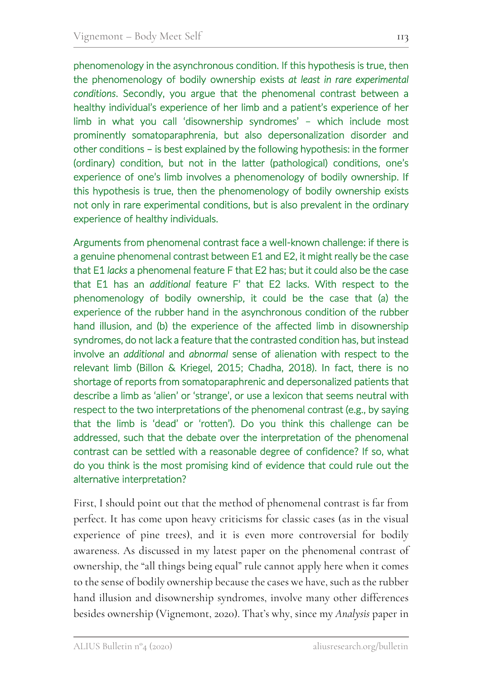phenomenology in the asynchronous condition. If this hypothesis is true, then the phenomenology of bodily ownership exists *at least in rare experimental conditions*. Secondly, you argue that the phenomenal contrast between a healthy individual's experience of her limb and a patient's experience of her limb in what you call 'disownership syndromes' – which include most prominently somatoparaphrenia, but also depersonalization disorder and other conditions – is best explained by the following hypothesis: in the former (ordinary) condition, but not in the latter (pathological) conditions, one's experience of one's limb involves a phenomenology of bodily ownership. If this hypothesis is true, then the phenomenology of bodily ownership exists not only in rare experimental conditions, but is also prevalent in the ordinary experience of healthy individuals.

Arguments from phenomenal contrast face a well-known challenge: if there is a genuine phenomenal contrast between E1 and E2, it might really be the case that E1 *lacks* a phenomenal feature F that E2 has; but it could also be the case that E1 has an *additional* feature F' that E2 lacks. With respect to the phenomenology of bodily ownership, it could be the case that (a) the experience of the rubber hand in the asynchronous condition of the rubber hand illusion, and (b) the experience of the affected limb in disownership syndromes, do not lack a feature that the contrasted condition has, but instead involve an *additional* and *abnormal* sense of alienation with respect to the relevant limb (Billon & Kriegel, 2015; Chadha, 2018). In fact, there is no shortage of reports from somatoparaphrenic and depersonalized patients that describe a limb as 'alien' or 'strange', or use a lexicon that seems neutral with respect to the two interpretations of the phenomenal contrast (e.g., by saying that the limb is 'dead' or 'rotten'). Do you think this challenge can be addressed, such that the debate over the interpretation of the phenomenal contrast can be settled with a reasonable degree of confidence? If so, what do you think is the most promising kind of evidence that could rule out the alternative interpretation?

First, I should point out that the method of phenomenal contrast is far from perfect. It has come upon heavy criticisms for classic cases (as in the visual experience of pine trees), and it is even more controversial for bodily awareness. As discussed in my latest paper on the phenomenal contrast of ownership, the "all things being equal" rule cannot apply here when it comes to the sense of bodily ownership because the cases we have, such as the rubber hand illusion and disownership syndromes, involve many other differences besides ownership (Vignemont, 2020). That's why, since my *Analysis* paper in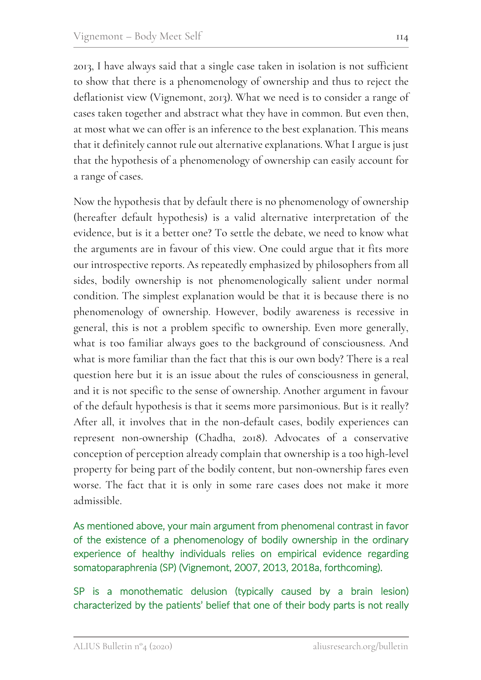2013, I have always said that a single case taken in isolation is not sufficient to show that there is a phenomenology of ownership and thus to reject the deflationist view (Vignemont, 2013). What we need is to consider a range of cases taken together and abstract what they have in common. But even then, at most what we can offer is an inference to the best explanation. This means that it definitely cannot rule out alternative explanations. What I argue is just that the hypothesis of a phenomenology of ownership can easily account for a range of cases.

Now the hypothesis that by default there is no phenomenology of ownership (hereafter default hypothesis) is a valid alternative interpretation of the evidence, but is it a better one? To settle the debate, we need to know what the arguments are in favour of this view. One could argue that it fits more our introspective reports. As repeatedly emphasized by philosophers from all sides, bodily ownership is not phenomenologically salient under normal condition. The simplest explanation would be that it is because there is no phenomenology of ownership. However, bodily awareness is recessive in general, this is not a problem specific to ownership. Even more generally, what is too familiar always goes to the background of consciousness. And what is more familiar than the fact that this is our own body? There is a real question here but it is an issue about the rules of consciousness in general, and it is not specific to the sense of ownership. Another argument in favour of the default hypothesis is that it seems more parsimonious. But is it really? After all, it involves that in the non-default cases, bodily experiences can represent non-ownership (Chadha, 2018). Advocates of a conservative conception of perception already complain that ownership is a too high-level property for being part of the bodily content, but non-ownership fares even worse. The fact that it is only in some rare cases does not make it more admissible.

As mentioned above, your main argument from phenomenal contrast in favor of the existence of a phenomenology of bodily ownership in the ordinary experience of healthy individuals relies on empirical evidence regarding somatoparaphrenia (SP) (Vignemont, 2007, 2013, 2018a, forthcoming).

SP is a monothematic delusion (typically caused by a brain lesion) characterized by the patients' belief that one of their body parts is not really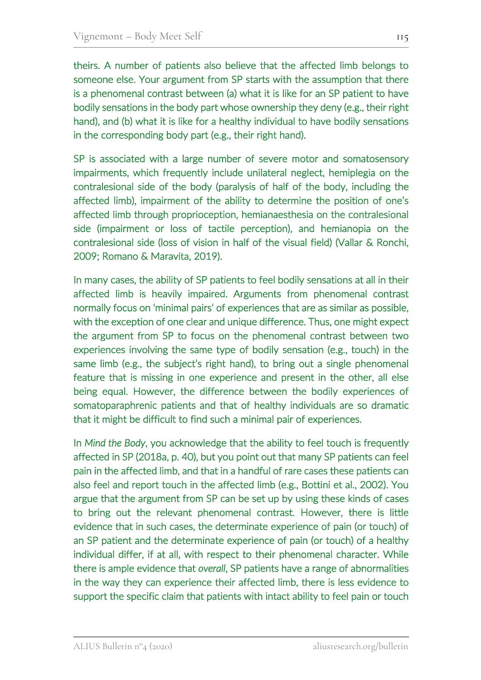theirs. A number of patients also believe that the affected limb belongs to someone else. Your argument from SP starts with the assumption that there is a phenomenal contrast between (a) what it is like for an SP patient to have bodily sensations in the body part whose ownership they deny (e.g., their right hand), and (b) what it is like for a healthy individual to have bodily sensations in the corresponding body part (e.g., their right hand).

SP is associated with a large number of severe motor and somatosensory impairments, which frequently include unilateral neglect, hemiplegia on the contralesional side of the body (paralysis of half of the body, including the affected limb), impairment of the ability to determine the position of one's affected limb through proprioception, hemianaesthesia on the contralesional side (impairment or loss of tactile perception), and hemianopia on the contralesional side (loss of vision in half of the visual field) (Vallar & Ronchi, 2009; Romano & Maravita, 2019).

In many cases, the ability of SP patients to feel bodily sensations at all in their affected limb is heavily impaired. Arguments from phenomenal contrast normally focus on 'minimal pairs' of experiences that are as similar as possible, with the exception of one clear and unique difference. Thus, one might expect the argument from SP to focus on the phenomenal contrast between two experiences involving the same type of bodily sensation (e.g., touch) in the same limb (e.g., the subject's right hand), to bring out a single phenomenal feature that is missing in one experience and present in the other, all else being equal. However, the difference between the bodily experiences of somatoparaphrenic patients and that of healthy individuals are so dramatic that it might be difficult to find such a minimal pair of experiences.

In *Mind the Body*, you acknowledge that the ability to feel touch is frequently affected in SP (2018a, p. 40), but you point out that many SP patients can feel pain in the affected limb, and that in a handful of rare cases these patients can also feel and report touch in the affected limb (e.g., Bottini et al., 2002). You argue that the argument from SP can be set up by using these kinds of cases to bring out the relevant phenomenal contrast. However, there is little evidence that in such cases, the determinate experience of pain (or touch) of an SP patient and the determinate experience of pain (or touch) of a healthy individual differ, if at all, with respect to their phenomenal character. While there is ample evidence that *overall*, SP patients have a range of abnormalities in the way they can experience their affected limb, there is less evidence to support the specific claim that patients with intact ability to feel pain or touch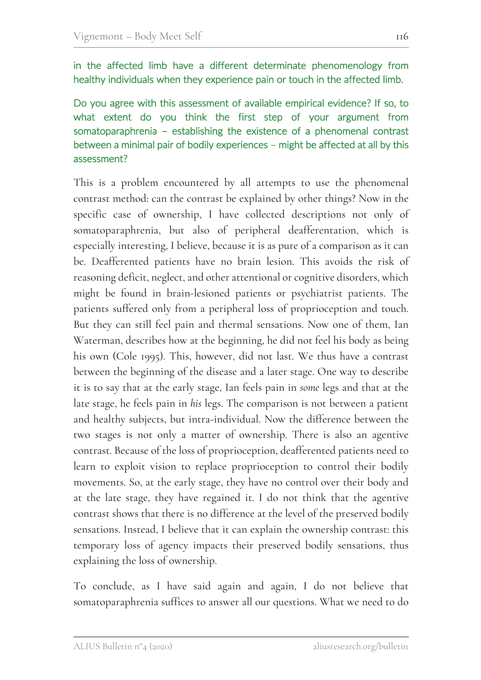in the affected limb have a different determinate phenomenology from healthy individuals when they experience pain or touch in the affected limb.

Do you agree with this assessment of available empirical evidence? If so, to what extent do you think the first step of your argument from somatoparaphrenia – establishing the existence of a phenomenal contrast between a minimal pair of bodily experiences – might be affected at all by this assessment?

This is a problem encountered by all attempts to use the phenomenal contrast method: can the contrast be explained by other things? Now in the specific case of ownership, I have collected descriptions not only of somatoparaphrenia, but also of peripheral deafferentation, which is especially interesting, I believe, because it is as pure of a comparison as it can be. Deafferented patients have no brain lesion. This avoids the risk of reasoning deficit, neglect, and other attentional or cognitive disorders, which might be found in brain-lesioned patients or psychiatrist patients. The patients suffered only from a peripheral loss of proprioception and touch. But they can still feel pain and thermal sensations. Now one of them, Ian Waterman, describes how at the beginning, he did not feel his body as being his own (Cole 1995). This, however, did not last. We thus have a contrast between the beginning of the disease and a later stage. One way to describe it is to say that at the early stage, Ian feels pain in *some* legs and that at the late stage, he feels pain in *his* legs. The comparison is not between a patient and healthy subjects, but intra-individual. Now the difference between the two stages is not only a matter of ownership. There is also an agentive contrast. Because of the loss of proprioception, deafferented patients need to learn to exploit vision to replace proprioception to control their bodily movements. So, at the early stage, they have no control over their body and at the late stage, they have regained it. I do not think that the agentive contrast shows that there is no difference at the level of the preserved bodily sensations. Instead, I believe that it can explain the ownership contrast: this temporary loss of agency impacts their preserved bodily sensations, thus explaining the loss of ownership.

To conclude, as I have said again and again, I do not believe that somatoparaphrenia suffices to answer all our questions. What we need to do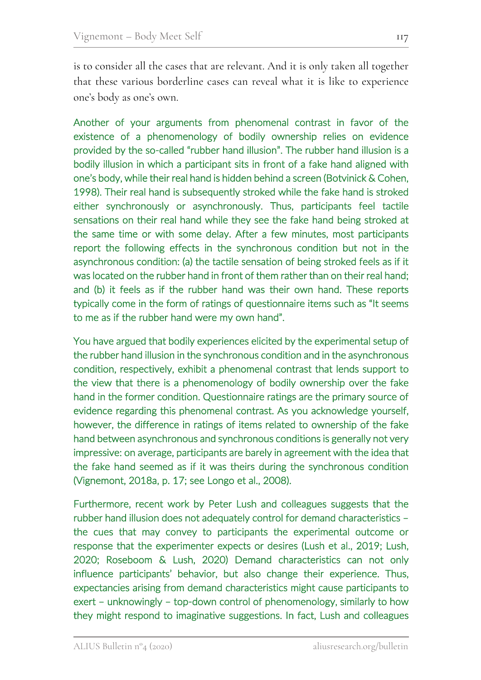is to consider all the cases that are relevant. And it is only taken all together that these various borderline cases can reveal what it is like to experience one's body as one's own.

Another of your arguments from phenomenal contrast in favor of the existence of a phenomenology of bodily ownership relies on evidence provided by the so-called "rubber hand illusion". The rubber hand illusion is a bodily illusion in which a participant sits in front of a fake hand aligned with one's body, while their real hand is hidden behind a screen (Botvinick & Cohen, 1998). Their real hand is subsequently stroked while the fake hand is stroked either synchronously or asynchronously. Thus, participants feel tactile sensations on their real hand while they see the fake hand being stroked at the same time or with some delay. After a few minutes, most participants report the following effects in the synchronous condition but not in the asynchronous condition: (a) the tactile sensation of being stroked feels as if it was located on the rubber hand in front of them rather than on their real hand; and (b) it feels as if the rubber hand was their own hand. These reports typically come in the form of ratings of questionnaire items such as "It seems to me as if the rubber hand were my own hand".

You have argued that bodily experiences elicited by the experimental setup of the rubber hand illusion in the synchronous condition and in the asynchronous condition, respectively, exhibit a phenomenal contrast that lends support to the view that there is a phenomenology of bodily ownership over the fake hand in the former condition. Questionnaire ratings are the primary source of evidence regarding this phenomenal contrast. As you acknowledge yourself, however, the difference in ratings of items related to ownership of the fake hand between asynchronous and synchronous conditions is generally not very impressive: on average, participants are barely in agreement with the idea that the fake hand seemed as if it was theirs during the synchronous condition (Vignemont, 2018a, p. 17; see Longo et al., 2008).

Furthermore, recent work by Peter Lush and colleagues suggests that the rubber hand illusion does not adequately control for demand characteristics – the cues that may convey to participants the experimental outcome or response that the experimenter expects or desires (Lush et al., 2019; Lush, 2020; Roseboom & Lush, 2020) Demand characteristics can not only influence participants' behavior, but also change their experience. Thus, expectancies arising from demand characteristics might cause participants to exert – unknowingly – top-down control of phenomenology, similarly to how they might respond to imaginative suggestions. In fact, Lush and colleagues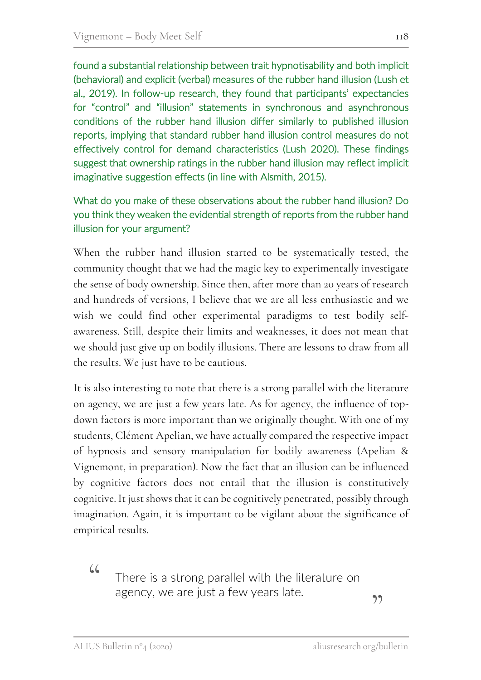found a substantial relationship between trait hypnotisability and both implicit (behavioral) and explicit (verbal) measures of the rubber hand illusion (Lush et al., 2019). In follow-up research, they found that participants' expectancies for "control" and "illusion" statements in synchronous and asynchronous conditions of the rubber hand illusion differ similarly to published illusion reports, implying that standard rubber hand illusion control measures do not effectively control for demand characteristics (Lush 2020). These findings suggest that ownership ratings in the rubber hand illusion may reflect implicit imaginative suggestion effects (in line with Alsmith, 2015).

### What do you make of these observations about the rubber hand illusion? Do you think they weaken the evidential strength of reports from the rubber hand illusion for your argument?

When the rubber hand illusion started to be systematically tested, the community thought that we had the magic key to experimentally investigate the sense of body ownership. Since then, after more than 20 years of research and hundreds of versions, I believe that we are all less enthusiastic and we wish we could find other experimental paradigms to test bodily selfawareness. Still, despite their limits and weaknesses, it does not mean that we should just give up on bodily illusions. There are lessons to draw from all the results. We just have to be cautious.

It is also interesting to note that there is a strong parallel with the literature on agency, we are just a few years late. As for agency, the influence of topdown factors is more important than we originally thought. With one of my students, Clément Apelian, we have actually compared the respective impact of hypnosis and sensory manipulation for bodily awareness (Apelian & Vignemont, in preparation). Now the fact that an illusion can be influenced by cognitive factors does not entail that the illusion is constitutively cognitive. It just shows that it can be cognitively penetrated, possibly through imagination. Again, it is important to be vigilant about the significance of empirical results.

> There is a strong parallel with the literature on agency, we are just a few years late.

"

 $66$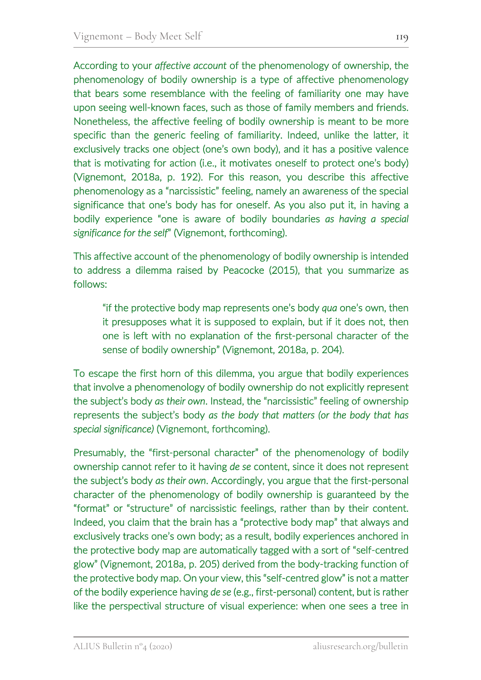According to your *affective account* of the phenomenology of ownership, the phenomenology of bodily ownership is a type of affective phenomenology that bears some resemblance with the feeling of familiarity one may have upon seeing well-known faces, such as those of family members and friends. Nonetheless, the affective feeling of bodily ownership is meant to be more specific than the generic feeling of familiarity. Indeed, unlike the latter, it exclusively tracks one object (one's own body), and it has a positive valence that is motivating for action (i.e., it motivates oneself to protect one's body) (Vignemont, 2018a, p. 192). For this reason, you describe this affective phenomenology as a "narcissistic" feeling, namely an awareness of the special significance that one's body has for oneself. As you also put it, in having a bodily experience "one is aware of bodily boundaries *as having a special significance for the self*" (Vignemont, forthcoming).

This affective account of the phenomenology of bodily ownership is intended to address a dilemma raised by Peacocke (2015), that you summarize as follows:

"if the protective body map represents one's body *qua* one's own, then it presupposes what it is supposed to explain, but if it does not, then one is left with no explanation of the first-personal character of the sense of bodily ownership" (Vignemont, 2018a, p. 204).

To escape the first horn of this dilemma, you argue that bodily experiences that involve a phenomenology of bodily ownership do not explicitly represent the subject's body *as their own*. Instead, the "narcissistic" feeling of ownership represents the subject's body *as the body that matters (or the body that has special significance)* (Vignemont, forthcoming).

Presumably, the "first-personal character" of the phenomenology of bodily ownership cannot refer to it having *de se* content, since it does not represent the subject's body *as their own*. Accordingly, you argue that the first-personal character of the phenomenology of bodily ownership is guaranteed by the "format" or "structure" of narcissistic feelings, rather than by their content. Indeed, you claim that the brain has a "protective body map" that always and exclusively tracks one's own body; as a result, bodily experiences anchored in the protective body map are automatically tagged with a sort of "self-centred glow" (Vignemont, 2018a, p. 205) derived from the body-tracking function of the protective body map. On your view, this "self-centred glow" is not a matter of the bodily experience having *de se* (e.g., first-personal) content, but is rather like the perspectival structure of visual experience: when one sees a tree in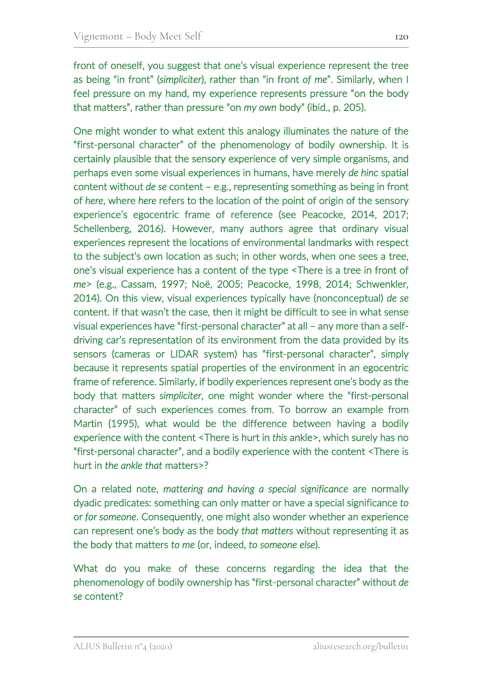front of oneself, you suggest that one's visual experience represent the tree as being "in front" (*simpliciter*), rather than "in front *of me*". Similarly, when I feel pressure on my hand, my experience represents pressure "on the body that matters", rather than pressure "on *my own* body" (ibid., p. 205).

One might wonder to what extent this analogy illuminates the nature of the "first-personal character" of the phenomenology of bodily ownership. It is certainly plausible that the sensory experience of very simple organisms, and perhaps even some visual experiences in humans, have merely *de hinc* spatial content without *de se* content – e.g., representing something as being in front of *here*, where *here* refers to the location of the point of origin of the sensory experience's egocentric frame of reference (see Peacocke, 2014, 2017; Schellenberg, 2016). However, many authors agree that ordinary visual experiences represent the locations of environmental landmarks with respect to the subject's own location as such; in other words, when one sees a tree, one's visual experience has a content of the type <There is a tree in front of *me*> (e.g., Cassam, 1997; Noë, 2005; Peacocke, 1998, 2014; Schwenkler, 2014). On this view, visual experiences typically have (nonconceptual) *de se* content. If that wasn't the case, then it might be difficult to see in what sense visual experiences have "first-personal character" at all – any more than a selfdriving car's representation of its environment from the data provided by its sensors (cameras or LIDAR system) has "first-personal character", simply because it represents spatial properties of the environment in an egocentric frame of reference. Similarly, if bodily experiences represent one's body as the body that matters *simpliciter*, one might wonder where the "first-personal character" of such experiences comes from. To borrow an example from Martin (1995), what would be the difference between having a bodily experience with the content <There is hurt in *this* ankle>, which surely has no "first-personal character", and a bodily experience with the content <There is hurt in *the ankle that* matters>?

On a related note, *mattering and having a special significance* are normally dyadic predicates: something can only matter or have a special significance *to*  or *for someone*. Consequently, one might also wonder whether an experience can represent one's body as the body *that matters* without representing it as the body that matters *to me* (or, indeed, *to someone else*).

What do you make of these concerns regarding the idea that the phenomenology of bodily ownership has "first-personal character" without *de se* content?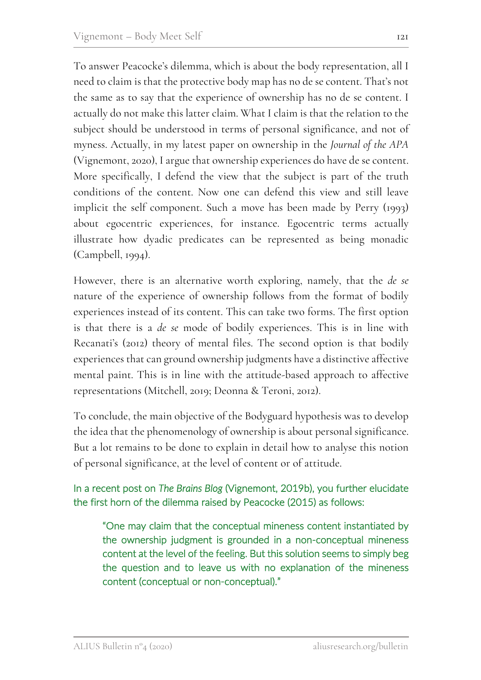To answer Peacocke's dilemma, which is about the body representation, all I need to claim is that the protective body map has no de se content. That's not the same as to say that the experience of ownership has no de se content. I actually do not make this latter claim. What I claim is that the relation to the subject should be understood in terms of personal significance, and not of myness. Actually, in my latest paper on ownership in the *Journal of the APA* (Vignemont, 2020), I argue that ownership experiences do have de se content. More specifically, I defend the view that the subject is part of the truth conditions of the content. Now one can defend this view and still leave implicit the self component. Such a move has been made by Perry (1993) about egocentric experiences, for instance. Egocentric terms actually illustrate how dyadic predicates can be represented as being monadic (Campbell, 1994).

However, there is an alternative worth exploring, namely, that the *de se* nature of the experience of ownership follows from the format of bodily experiences instead of its content. This can take two forms. The first option is that there is a *de se* mode of bodily experiences. This is in line with Recanati's (2012) theory of mental files. The second option is that bodily experiences that can ground ownership judgments have a distinctive affective mental paint. This is in line with the attitude-based approach to affective representations (Mitchell, 2019; Deonna & Teroni, 2012).

To conclude, the main objective of the Bodyguard hypothesis was to develop the idea that the phenomenology of ownership is about personal significance. But a lot remains to be done to explain in detail how to analyse this notion of personal significance, at the level of content or of attitude.

#### In a recent post on *The Brains Blog* (Vignemont, 2019b), you further elucidate the first horn of the dilemma raised by Peacocke (2015) as follows:

"One may claim that the conceptual mineness content instantiated by the ownership judgment is grounded in a non-conceptual mineness content at the level of the feeling. But this solution seems to simply beg the question and to leave us with no explanation of the mineness content (conceptual or non-conceptual)."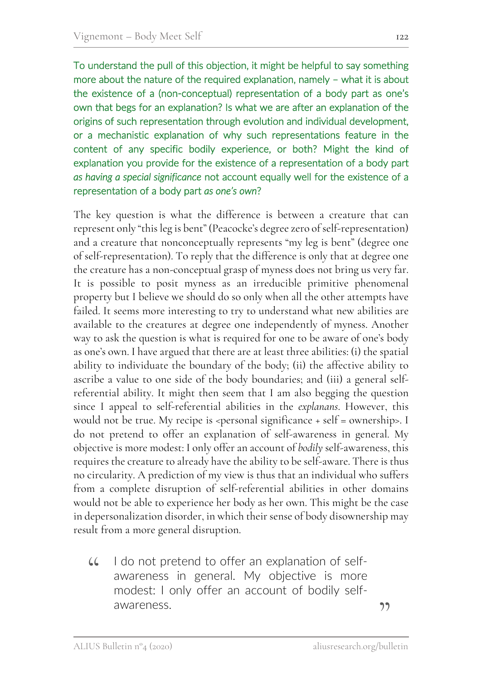To understand the pull of this objection, it might be helpful to say something more about the nature of the required explanation, namely – what it is about the existence of a (non-conceptual) representation of a body part as one's own that begs for an explanation? Is what we are after an explanation of the origins of such representation through evolution and individual development, or a mechanistic explanation of why such representations feature in the content of any specific bodily experience, or both? Might the kind of explanation you provide for the existence of a representation of a body part *as having a special significance* not account equally well for the existence of a representation of a body part *as one's own*?

The key question is what the difference is between a creature that can represent only "this leg is bent" (Peacocke's degree zero of self-representation) and a creature that nonconceptually represents "my leg is bent" (degree one of self-representation). To reply that the difference is only that at degree one the creature has a non-conceptual grasp of myness does not bring us very far. It is possible to posit myness as an irreducible primitive phenomenal property but I believe we should do so only when all the other attempts have failed. It seems more interesting to try to understand what new abilities are available to the creatures at degree one independently of myness. Another way to ask the question is what is required for one to be aware of one's body as one's own. I have argued that there are at least three abilities: (i) the spatial ability to individuate the boundary of the body; (ii) the affective ability to ascribe a value to one side of the body boundaries; and (iii) a general selfreferential ability. It might then seem that I am also begging the question since I appeal to self-referential abilities in the *explanans*. However, this would not be true. My recipe is <personal significance + self = ownership>. I do not pretend to offer an explanation of self-awareness in general. My objective is more modest: I only offer an account of *bodily* self-awareness, this requires the creature to already have the ability to be self-aware. There is thus no circularity. A prediction of my view is thus that an individual who suffers from a complete disruption of self-referential abilities in other domains would not be able to experience her body as her own. This might be the case in depersonalization disorder, in which their sense of body disownership may result from a more general disruption.

I do not pretend to offer an explanation of selfawareness in general. My objective is more modest: I only offer an account of bodily selfawareness.  $\mathcal{L}$ 

"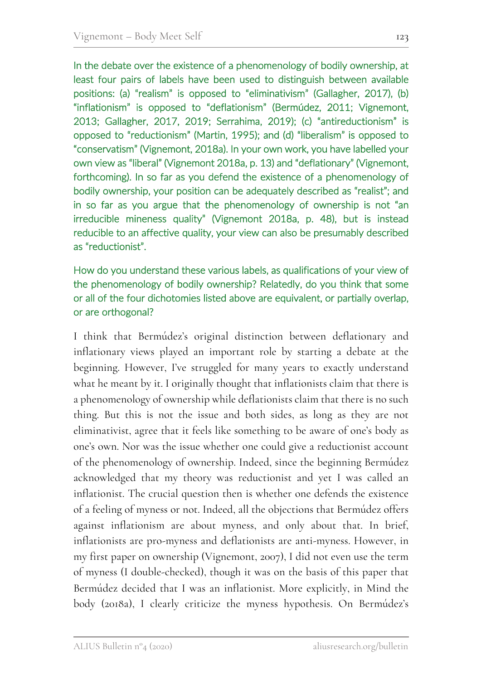In the debate over the existence of a phenomenology of bodily ownership, at least four pairs of labels have been used to distinguish between available positions: (a) "realism" is opposed to "eliminativism" (Gallagher, 2017), (b) "inflationism" is opposed to "deflationism" (Bermúdez, 2011; Vignemont, 2013; Gallagher, 2017, 2019; Serrahima, 2019); (c) "antireductionism" is opposed to "reductionism" (Martin, 1995); and (d) "liberalism" is opposed to "conservatism" (Vignemont, 2018a). In your own work, you have labelled your own view as "liberal" (Vignemont 2018a, p. 13) and "deflationary" (Vignemont, forthcoming). In so far as you defend the existence of a phenomenology of bodily ownership, your position can be adequately described as "realist"; and in so far as you argue that the phenomenology of ownership is not "an irreducible mineness quality" (Vignemont 2018a, p. 48), but is instead reducible to an affective quality, your view can also be presumably described as "reductionist".

How do you understand these various labels, as qualifications of your view of the phenomenology of bodily ownership? Relatedly, do you think that some or all of the four dichotomies listed above are equivalent, or partially overlap, or are orthogonal?

I think that Bermúdez's original distinction between deflationary and inflationary views played an important role by starting a debate at the beginning. However, I've struggled for many years to exactly understand what he meant by it. I originally thought that inflationists claim that there is a phenomenology of ownership while deflationists claim that there is no such thing. But this is not the issue and both sides, as long as they are not eliminativist, agree that it feels like something to be aware of one's body as one's own. Nor was the issue whether one could give a reductionist account of the phenomenology of ownership. Indeed, since the beginning Bermúdez acknowledged that my theory was reductionist and yet I was called an inflationist. The crucial question then is whether one defends the existence of a feeling of myness or not. Indeed, all the objections that Bermúdez offers against inflationism are about myness, and only about that. In brief, inflationists are pro-myness and deflationists are anti-myness. However, in my first paper on ownership (Vignemont, 2007), I did not even use the term of myness (I double-checked), though it was on the basis of this paper that Bermúdez decided that I was an inflationist. More explicitly, in Mind the body (2018a), I clearly criticize the myness hypothesis. On Bermúdez's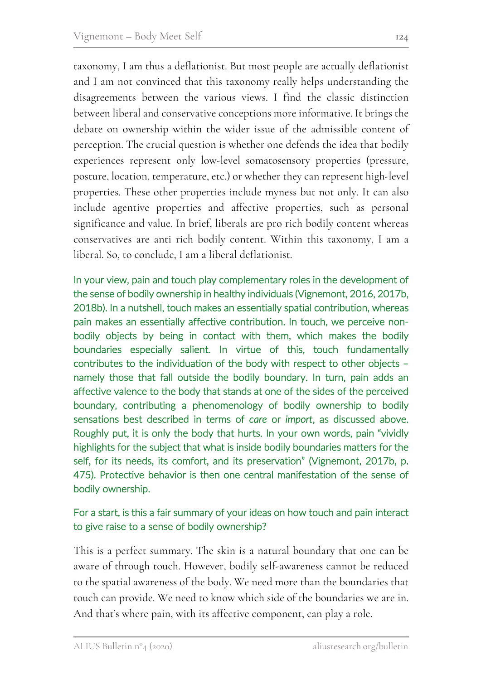taxonomy, I am thus a deflationist. But most people are actually deflationist and I am not convinced that this taxonomy really helps understanding the disagreements between the various views. I find the classic distinction between liberal and conservative conceptions more informative. It brings the debate on ownership within the wider issue of the admissible content of perception. The crucial question is whether one defends the idea that bodily experiences represent only low-level somatosensory properties (pressure, posture, location, temperature, etc.) or whether they can represent high-level properties. These other properties include myness but not only. It can also include agentive properties and affective properties, such as personal significance and value. In brief, liberals are pro rich bodily content whereas conservatives are anti rich bodily content. Within this taxonomy, I am a liberal. So, to conclude, I am a liberal deflationist.

In your view, pain and touch play complementary roles in the development of the sense of bodily ownership in healthy individuals (Vignemont, 2016, 2017b, 2018b). In a nutshell, touch makes an essentially spatial contribution, whereas pain makes an essentially affective contribution. In touch, we perceive nonbodily objects by being in contact with them, which makes the bodily boundaries especially salient. In virtue of this, touch fundamentally contributes to the individuation of the body with respect to other objects – namely those that fall outside the bodily boundary. In turn, pain adds an affective valence to the body that stands at one of the sides of the perceived boundary, contributing a phenomenology of bodily ownership to bodily sensations best described in terms of *care* or *import*, as discussed above. Roughly put, it is only the body that hurts. In your own words, pain "vividly highlights for the subject that what is inside bodily boundaries matters for the self, for its needs, its comfort, and its preservation" (Vignemont, 2017b, p. 475). Protective behavior is then one central manifestation of the sense of bodily ownership.

#### For a start, is this a fair summary of your ideas on how touch and pain interact to give raise to a sense of bodily ownership?

This is a perfect summary. The skin is a natural boundary that one can be aware of through touch. However, bodily self-awareness cannot be reduced to the spatial awareness of the body. We need more than the boundaries that touch can provide. We need to know which side of the boundaries we are in. And that's where pain, with its affective component, can play a role.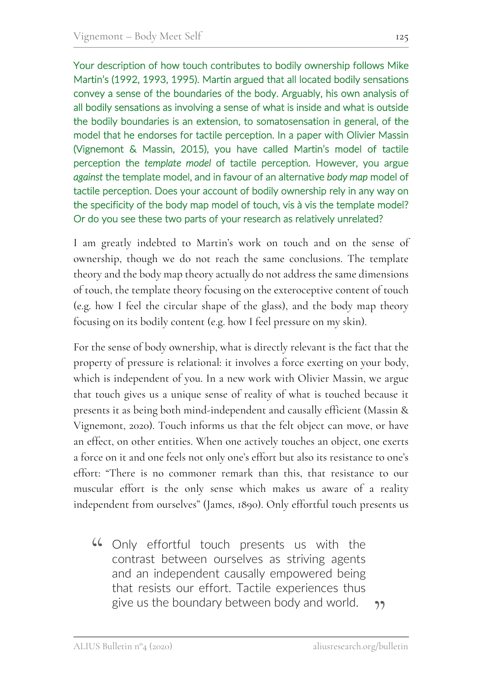Your description of how touch contributes to bodily ownership follows Mike Martin's (1992, 1993, 1995). Martin argued that all located bodily sensations convey a sense of the boundaries of the body. Arguably, his own analysis of all bodily sensations as involving a sense of what is inside and what is outside the bodily boundaries is an extension, to somatosensation in general, of the model that he endorses for tactile perception. In a paper with Olivier Massin (Vignemont & Massin, 2015), you have called Martin's model of tactile perception the *template model* of tactile perception. However, you argue *against* the template model, and in favour of an alternative *body map* model of

tactile perception. Does your account of bodily ownership rely in any way on the specificity of the body map model of touch, vis à vis the template model? Or do you see these two parts of your research as relatively unrelated?

I am greatly indebted to Martin's work on touch and on the sense of ownership, though we do not reach the same conclusions. The template theory and the body map theory actually do not address the same dimensions of touch, the template theory focusing on the exteroceptive content of touch (e.g. how I feel the circular shape of the glass), and the body map theory focusing on its bodily content (e.g. how I feel pressure on my skin).

For the sense of body ownership, what is directly relevant is the fact that the property of pressure is relational: it involves a force exerting on your body, which is independent of you. In a new work with Olivier Massin, we argue that touch gives us a unique sense of reality of what is touched because it presents it as being both mind-independent and causally efficient (Massin & Vignemont, 2020). Touch informs us that the felt object can move, or have an effect, on other entities. When one actively touches an object, one exerts a force on it and one feels not only one's effort but also its resistance to one's effort: "There is no commoner remark than this, that resistance to our muscular effort is the only sense which makes us aware of a reality independent from ourselves" (James, 1890). Only effortful touch presents us

""> """ Conly effortful touch presents us with the contrast between ourselves as striving agents contrast between ourselves as striving agents and an independent causally empowered being that resists our effort. Tactile experiences thus give us the boundary between body and world. "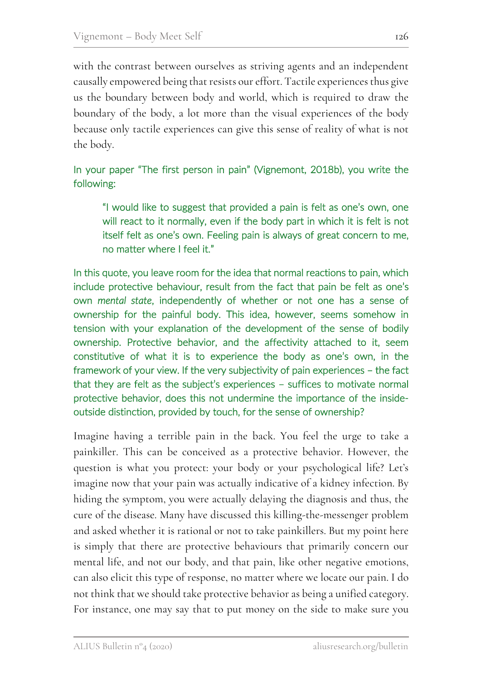with the contrast between ourselves as striving agents and an independent causally empowered being that resists our effort. Tactile experiences thus give us the boundary between body and world, which is required to draw the boundary of the body, a lot more than the visual experiences of the body because only tactile experiences can give this sense of reality of what is not the body.

### In your paper "The first person in pain" (Vignemont, 2018b), you write the following:

"I would like to suggest that provided a pain is felt as one's own, one will react to it normally, even if the body part in which it is felt is not itself felt as one's own. Feeling pain is always of great concern to me, no matter where I feel it."

In this quote, you leave room for the idea that normal reactions to pain, which include protective behaviour, result from the fact that pain be felt as one's own *mental state*, independently of whether or not one has a sense of ownership for the painful body. This idea, however, seems somehow in tension with your explanation of the development of the sense of bodily ownership. Protective behavior, and the affectivity attached to it, seem constitutive of what it is to experience the body as one's own, in the framework of your view. If the very subjectivity of pain experiences – the fact that they are felt as the subject's experiences – suffices to motivate normal protective behavior, does this not undermine the importance of the insideoutside distinction, provided by touch, for the sense of ownership?

Imagine having a terrible pain in the back. You feel the urge to take a painkiller. This can be conceived as a protective behavior. However, the question is what you protect: your body or your psychological life? Let's imagine now that your pain was actually indicative of a kidney infection. By hiding the symptom, you were actually delaying the diagnosis and thus, the cure of the disease. Many have discussed this killing-the-messenger problem and asked whether it is rational or not to take painkillers. But my point here is simply that there are protective behaviours that primarily concern our mental life, and not our body, and that pain, like other negative emotions, can also elicit this type of response, no matter where we locate our pain. I do not think that we should take protective behavior as being a unified category. For instance, one may say that to put money on the side to make sure you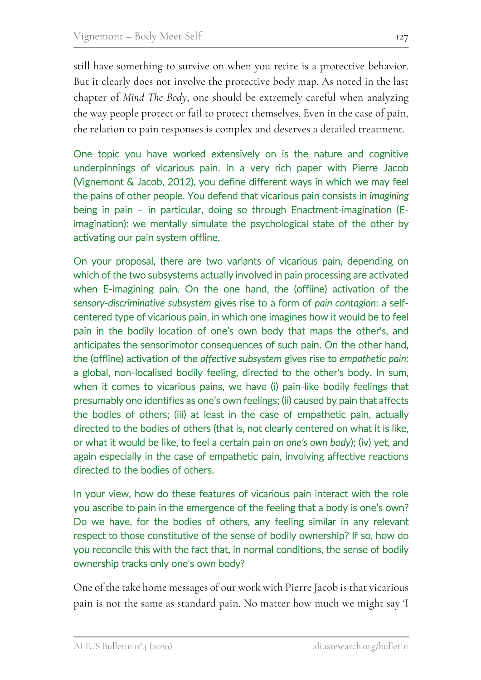still have something to survive on when you retire is a protective behavior. But it clearly does not involve the protective body map. As noted in the last chapter of *Mind The Body*, one should be extremely careful when analyzing the way people protect or fail to protect themselves. Even in the case of pain, the relation to pain responses is complex and deserves a detailed treatment.

One topic you have worked extensively on is the nature and cognitive underpinnings of vicarious pain. In a very rich paper with Pierre Jacob (Vignemont & Jacob, 2012), you define different ways in which we may feel the pains of other people. You defend that vicarious pain consists in *imagining* being in pain – in particular, doing so through Enactment-imagination (Eimagination): we mentally simulate the psychological state of the other by activating our pain system offline.

On your proposal, there are two variants of vicarious pain, depending on which of the two subsystems actually involved in pain processing are activated when E-imagining pain. On the one hand, the (offline) activation of the *sensory-discriminative subsystem* gives rise to a form of *pain contagion*: a selfcentered type of vicarious pain, in which one imagines how it would be to feel pain in the bodily location of one's own body that maps the other's, and anticipates the sensorimotor consequences of such pain. On the other hand, the (offline) activation of the *affective subsystem* gives rise to *empathetic pain*: a global, non-localised bodily feeling, directed to the other's body. In sum, when it comes to vicarious pains, we have (i) pain-like bodily feelings that presumably one identifies as one's own feelings; (ii) caused by pain that affects the bodies of others; (iii) at least in the case of empathetic pain, actually directed to the bodies of others (that is, not clearly centered on what it is like, or what it would be like, to feel a certain pain *on one's own body*); (iv) yet, and again especially in the case of empathetic pain, involving affective reactions directed to the bodies of others.

In your view, how do these features of vicarious pain interact with the role you ascribe to pain in the emergence of the feeling that a body is one's own? Do we have, for the bodies of others, any feeling similar in any relevant respect to those constitutive of the sense of bodily ownership? If so, how do you reconcile this with the fact that, in normal conditions, the sense of bodily ownership tracks only one's own body?

One of the take home messages of our work with Pierre Jacob is that vicarious pain is not the same as standard pain. No matter how much we might say 'I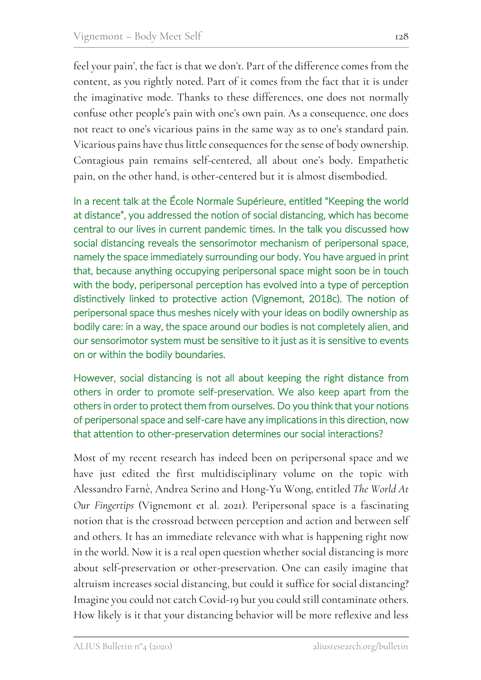feel your pain', the fact is that we don't. Part of the difference comes from the content, as you rightly noted. Part of it comes from the fact that it is under the imaginative mode. Thanks to these differences, one does not normally confuse other people's pain with one's own pain. As a consequence, one does not react to one's vicarious pains in the same way as to one's standard pain. Vicarious pains have thus little consequences for the sense of body ownership. Contagious pain remains self-centered, all about one's body. Empathetic pain, on the other hand, is other-centered but it is almost disembodied.

In a recent talk at the École Normale Supérieure, entitled "Keeping the world at distance", you addressed the notion of social distancing, which has become central to our lives in current pandemic times. In the talk you discussed how social distancing reveals the sensorimotor mechanism of peripersonal space, namely the space immediately surrounding our body. You have argued in print that, because anything occupying peripersonal space might soon be in touch with the body, peripersonal perception has evolved into a type of perception distinctively linked to protective action (Vignemont, 2018c). The notion of peripersonal space thus meshes nicely with your ideas on bodily ownership as bodily care: in a way, the space around our bodies is not completely alien, and our sensorimotor system must be sensitive to it just as it is sensitive to events on or within the bodily boundaries.

However, social distancing is not all about keeping the right distance from others in order to promote self-preservation. We also keep apart from the others in order to protect them from ourselves. Do you think that your notions of peripersonal space and self-care have any implications in this direction, now that attention to other-preservation determines our social interactions?

Most of my recent research has indeed been on peripersonal space and we have just edited the first multidisciplinary volume on the topic with Alessandro Farnè, Andrea Serino and Hong-Yu Wong, entitled *The World At Our Fingertips* (Vignemont et al. 2021). Peripersonal space is a fascinating notion that is the crossroad between perception and action and between self and others. It has an immediate relevance with what is happening right now in the world. Now it is a real open question whether social distancing is more about self-preservation or other-preservation. One can easily imagine that altruism increases social distancing, but could it suffice for social distancing? Imagine you could not catch Covid-19 but you could still contaminate others. How likely is it that your distancing behavior will be more reflexive and less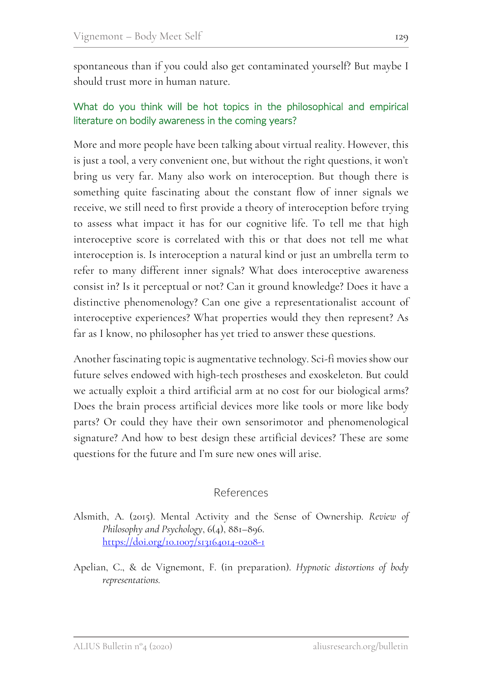spontaneous than if you could also get contaminated yourself? But maybe I should trust more in human nature.

#### What do you think will be hot topics in the philosophical and empirical literature on bodily awareness in the coming years?

More and more people have been talking about virtual reality. However, this is just a tool, a very convenient one, but without the right questions, it won't bring us very far. Many also work on interoception. But though there is something quite fascinating about the constant flow of inner signals we receive, we still need to first provide a theory of interoception before trying to assess what impact it has for our cognitive life. To tell me that high interoceptive score is correlated with this or that does not tell me what interoception is. Is interoception a natural kind or just an umbrella term to refer to many different inner signals? What does interoceptive awareness consist in? Is it perceptual or not? Can it ground knowledge? Does it have a distinctive phenomenology? Can one give a representationalist account of interoceptive experiences? What properties would they then represent? As far as I know, no philosopher has yet tried to answer these questions.

Another fascinating topic is augmentative technology. Sci-fi movies show our future selves endowed with high-tech prostheses and exoskeleton. But could we actually exploit a third artificial arm at no cost for our biological arms? Does the brain process artificial devices more like tools or more like body parts? Or could they have their own sensorimotor and phenomenological signature? And how to best design these artificial devices? These are some questions for the future and I'm sure new ones will arise.

#### References

- Alsmith, A. (2015). Mental Activity and the Sense of Ownership. *Review of Philosophy and Psychology*, 6(4), 881–896. https://doi.org/10.1007/s13164014-0208-1
- Apelian, C., & de Vignemont, F. (in preparation). *Hypnotic distortions of body representations.*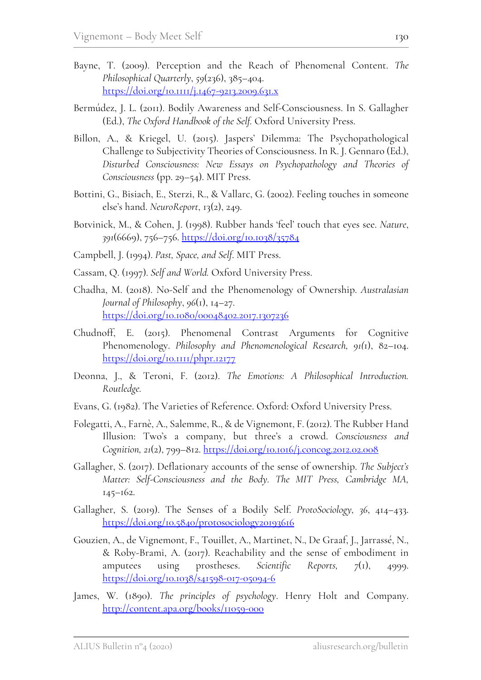- Bayne, T. (2009). Perception and the Reach of Phenomenal Content. *The Philosophical Quarterly*, *59*(236), 385–404. https://doi.org/10.1111/j.1467-9213.2009.631.x
- Bermúdez, J. L. (2011). Bodily Awareness and Self-Consciousness. In S. Gallagher (Ed.), *The Oxford Handbook of the Self.* Oxford University Press.
- Billon, A., & Kriegel, U. (2015). Jaspers' Dilemma: The Psychopathological Challenge to Subjectivity Theories of Consciousness. In R. J. Gennaro (Ed.), *Disturbed Consciousness: New Essays on Psychopathology and Theories of Consciousness* (pp. 29–54). MIT Press.
- Bottini, G., Bisiach, E., Sterzi, R., & Vallarc, G. (2002). Feeling touches in someone else's hand. *NeuroReport*, 13(2), 249.
- Botvinick, M., & Cohen, J. (1998). Rubber hands 'feel' touch that eyes see. *Nature*, *391*(6669), 756–756. https://doi.org/10.1038/35784
- Campbell, J. (1994). *Past, Space, and Self*. MIT Press.
- Cassam, Q. (1997). *Self and World.* Oxford University Press.
- Chadha, M. (2018). No-Self and the Phenomenology of Ownership. *Australasian Journal of Philosophy*, *96*(1), 14–27. https://doi.org/10.1080/00048402.2017.1307236
- Chudnoff, E. (2015). Phenomenal Contrast Arguments for Cognitive Phenomenology. *Philosophy and Phenomenological Research, 91(*1), 82–104. https://doi.org/10.1111/phpr.12177
- Deonna, J., & Teroni, F. (2012). *The Emotions: A Philosophical Introduction. Routledge.*
- Evans, G. (1982). The Varieties of Reference. Oxford: Oxford University Press.
- Folegatti, A., Farnè, A., Salemme, R., & de Vignemont, F. (2012). The Rubber Hand Illusion: Two's a company, but three's a crowd. *Consciousness and Cognition, 21*(2), 799–812. https://doi.org/10.1016/j.concog.2012.02.008
- Gallagher, S. (2017). Deflationary accounts of the sense of ownership. *The Subject's Matter: Self-Consciousness and the Body. The MIT Press, Cambridge MA,* 145–162.
- Gallagher, S. (2019). The Senses of a Bodily Self. *ProtoSociology, 36*, 414–433. https://doi.org/10.5840/protosociology20193616
- Gouzien, A., de Vignemont, F., Touillet, A., Martinet, N., De Graaf, J., Jarrassé, N., & Roby-Brami, A. (2017). Reachability and the sense of embodiment in amputees using prostheses. *Scientific Reports, 7*(1), 4999. https://doi.org/10.1038/s41598-017-05094-6
- James, W. (1890). *The principles of psychology*. Henry Holt and Company. http://content.apa.org/books/11059-000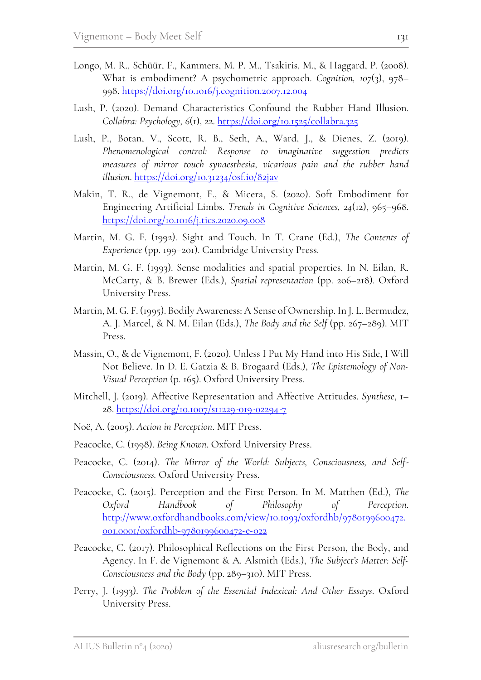- Longo, M. R., Schüür, F., Kammers, M. P. M., Tsakiris, M., & Haggard, P. (2008). What is embodiment? A psychometric approach. *Cognition, 107*(3), 978– 998. https://doi.org/10.1016/j.cognition.2007.12.004
- Lush, P. (2020). Demand Characteristics Confound the Rubber Hand Illusion. *Collabra: Psychology, 6*(1), 22. https://doi.org/10.1525/collabra.325
- Lush, P., Botan, V., Scott, R. B., Seth, A., Ward, J., & Dienes, Z. (2019). *Phenomenological control: Response to imaginative suggestion predicts measures of mirror touch synaesthesia, vicarious pain and the rubber hand illusion*. https://doi.org/10.31234/osf.io/82jav
- Makin, T. R., de Vignemont, F., & Micera, S. (2020). Soft Embodiment for Engineering Artificial Limbs. *Trends in Cognitive Sciences, 24*(12), 965–968. https://doi.org/10.1016/j.tics.2020.09.008
- Martin, M. G. F. (1992). Sight and Touch. In T. Crane (Ed.), *The Contents of Experience* (pp. 199–201). Cambridge University Press.
- Martin, M. G. F. (1993). Sense modalities and spatial properties. In N. Eilan, R. McCarty, & B. Brewer (Eds.), *Spatial representation* (pp. 206–218). Oxford University Press.
- Martin, M. G. F. (1995). Bodily Awareness: A Sense of Ownership. In J. L. Bermudez, A. J. Marcel, & N. M. Eilan (Eds.), *The Body and the Self* (pp. 267–289). MIT Press.
- Massin, O., & de Vignemont, F. (2020). Unless I Put My Hand into His Side, I Will Not Believe. In D. E. Gatzia & B. Brogaard (Eds.), *The Epistemology of Non-Visual Perception* (p. 165). Oxford University Press.
- Mitchell, J. (2019). Affective Representation and Affective Attitudes. *Synthese*, 1– 28. https://doi.org/10.1007/s11229-019-02294-7
- Noë, A. (2005). *Action in Perception*. MIT Press.
- Peacocke, C. (1998). *Being Known*. Oxford University Press.
- Peacocke, C. (2014). *The Mirror of the World: Subjects, Consciousness, and Self-Consciousness.* Oxford University Press.
- Peacocke, C. (2015). Perception and the First Person. In M. Matthen (Ed.), *The Oxford Handbook of Philosophy of Perception*. http://www.oxfordhandbooks.com/view/10.1093/oxfordhb/9780199600472. 001.0001/oxfordhb-9780199600472-e-022
- Peacocke, C. (2017). Philosophical Reflections on the First Person, the Body, and Agency. In F. de Vignemont & A. Alsmith (Eds.), *The Subject's Matter: Self-Consciousness and the Body* (pp. 289–310). MIT Press.
- Perry, J. (1993). *The Problem of the Essential Indexical: And Other Essays*. Oxford University Press.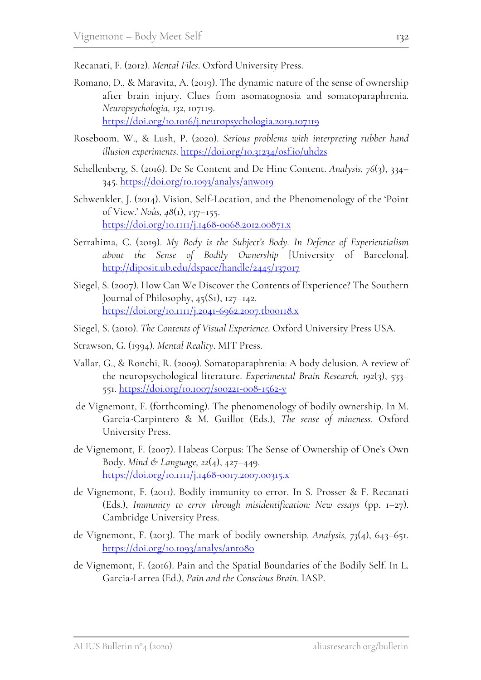Recanati, F. (2012). *Mental Files*. Oxford University Press.

- Romano, D., & Maravita, A. (2019). The dynamic nature of the sense of ownership after brain injury. Clues from asomatognosia and somatoparaphrenia. *Neuropsychologia, 132*, 107119. https://doi.org/10.1016/j.neuropsychologia.2019.107119
- Roseboom, W., & Lush, P. (2020). *Serious problems with interpreting rubber hand illusion experiments*. https://doi.org/10.31234/osf.io/uhdzs
- Schellenberg, S. (2016). De Se Content and De Hinc Content. *Analysis, 76*(3), 334– 345. https://doi.org/10.1093/analys/anw019
- Schwenkler, J. (2014). Vision, Self-Location, and the Phenomenology of the 'Point of View.' *Noûs, 48*(1), 137–155. https://doi.org/10.1111/j.1468-0068.2012.00871.x
- Serrahima, C. (2019). *My Body is the Subject's Body. In Defence of Experientialism about the Sense of Bodily Ownership* [University of Barcelona]. http://diposit.ub.edu/dspace/handle/2445/137017
- Siegel, S. (2007). How Can We Discover the Contents of Experience? The Southern Journal of Philosophy, 45(S1), 127–142. https://doi.org/10.1111/j.2041-6962.2007.tb00118.x
- Siegel, S. (2010). *The Contents of Visual Experience*. Oxford University Press USA.
- Strawson, G. (1994). *Mental Reality*. MIT Press.
- Vallar, G., & Ronchi, R. (2009). Somatoparaphrenia: A body delusion. A review of the neuropsychological literature. *Experimental Brain Research, 192*(3), 533– 551. https://doi.org/10.1007/s00221-008-1562-y
- de Vignemont, F. (forthcoming). The phenomenology of bodily ownership. In M. Garcia-Carpintero & M. Guillot (Eds.), *The sense of mineness*. Oxford University Press.
- de Vignemont, F. (2007). Habeas Corpus: The Sense of Ownership of One's Own Body. *Mind & Language, 22*(4), 427–449. https://doi.org/10.1111/j.1468-0017.2007.00315.x
- de Vignemont, F. (2011). Bodily immunity to error. In S. Prosser & F. Recanati (Eds.), *Immunity to error through misidentification: New essays* (pp. 1–27). Cambridge University Press.
- de Vignemont, F. (2013). The mark of bodily ownership. *Analysis, 73*(4), 643–651. https://doi.org/10.1093/analys/ant080
- de Vignemont, F. (2016). Pain and the Spatial Boundaries of the Bodily Self. In L. Garcia-Larrea (Ed.), *Pain and the Conscious Brain*. IASP.